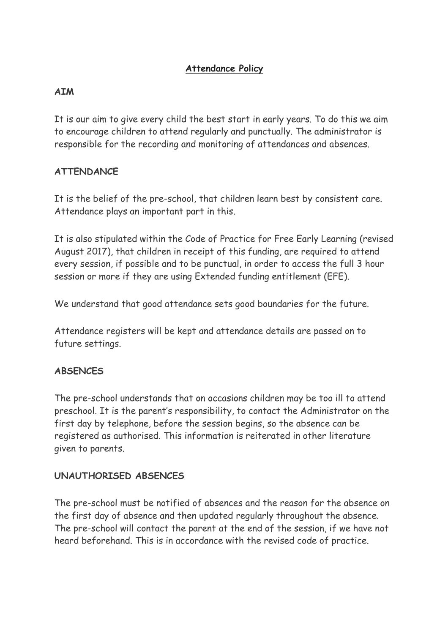# **Attendance Policy**

#### **AIM**

It is our aim to give every child the best start in early years. To do this we aim to encourage children to attend regularly and punctually. The administrator is responsible for the recording and monitoring of attendances and absences.

## **ATTENDANCE**

It is the belief of the pre-school, that children learn best by consistent care. Attendance plays an important part in this.

It is also stipulated within the Code of Practice for Free Early Learning (revised August 2017), that children in receipt of this funding, are required to attend every session, if possible and to be punctual, in order to access the full 3 hour session or more if they are using Extended funding entitlement (EFE).

We understand that good attendance sets good boundaries for the future.

Attendance registers will be kept and attendance details are passed on to future settings.

## **ABSENCES**

The pre-school understands that on occasions children may be too ill to attend preschool. It is the parent's responsibility, to contact the Administrator on the first day by telephone, before the session begins, so the absence can be registered as authorised. This information is reiterated in other literature given to parents.

#### **UNAUTHORISED ABSENCES**

The pre-school must be notified of absences and the reason for the absence on the first day of absence and then updated regularly throughout the absence. The pre-school will contact the parent at the end of the session, if we have not heard beforehand. This is in accordance with the revised code of practice.